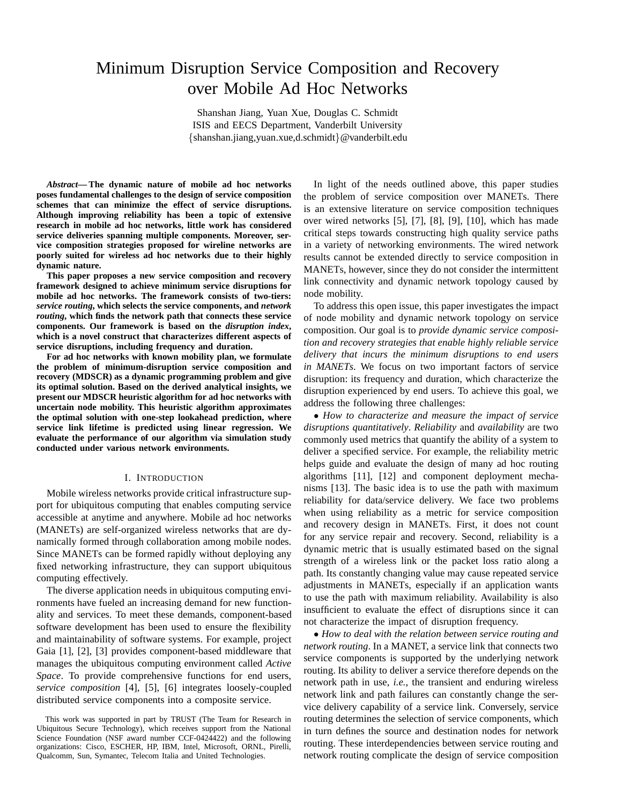# Minimum Disruption Service Composition and Recovery over Mobile Ad Hoc Networks

Shanshan Jiang, Yuan Xue, Douglas C. Schmidt ISIS and EECS Department, Vanderbilt University {shanshan.jiang,yuan.xue,d.schmidt}@vanderbilt.edu

*Abstract***— The dynamic nature of mobile ad hoc networks poses fundamental challenges to the design of service composition schemes that can minimize the effect of service disruptions. Although improving reliability has been a topic of extensive research in mobile ad hoc networks, little work has considered service deliveries spanning multiple components. Moreover, service composition strategies proposed for wireline networks are poorly suited for wireless ad hoc networks due to their highly dynamic nature.**

**This paper proposes a new service composition and recovery framework designed to achieve minimum service disruptions for mobile ad hoc networks. The framework consists of two-tiers:** *service routing***, which selects the service components, and** *network routing***, which finds the network path that connects these service components. Our framework is based on the** *disruption index***, which is a novel construct that characterizes different aspects of service disruptions, including frequency and duration.**

**For ad hoc networks with known mobility plan, we formulate the problem of minimum-disruption service composition and recovery (MDSCR) as a dynamic programming problem and give its optimal solution. Based on the derived analytical insights, we present our MDSCR heuristic algorithm for ad hoc networks with uncertain node mobility. This heuristic algorithm approximates the optimal solution with one-step lookahead prediction, where service link lifetime is predicted using linear regression. We evaluate the performance of our algorithm via simulation study conducted under various network environments.**

#### I. INTRODUCTION

Mobile wireless networks provide critical infrastructure support for ubiquitous computing that enables computing service accessible at anytime and anywhere. Mobile ad hoc networks (MANETs) are self-organized wireless networks that are dynamically formed through collaboration among mobile nodes. Since MANETs can be formed rapidly without deploying any fixed networking infrastructure, they can support ubiquitous computing effectively.

The diverse application needs in ubiquitous computing environments have fueled an increasing demand for new functionality and services. To meet these demands, component-based software development has been used to ensure the flexibility and maintainability of software systems. For example, project Gaia [1], [2], [3] provides component-based middleware that manages the ubiquitous computing environment called *Active Space*. To provide comprehensive functions for end users, *service composition* [4], [5], [6] integrates loosely-coupled distributed service components into a composite service.

In light of the needs outlined above, this paper studies the problem of service composition over MANETs. There is an extensive literature on service composition techniques over wired networks [5], [7], [8], [9], [10], which has made critical steps towards constructing high quality service paths in a variety of networking environments. The wired network results cannot be extended directly to service composition in MANETs, however, since they do not consider the intermittent link connectivity and dynamic network topology caused by node mobility.

To address this open issue, this paper investigates the impact of node mobility and dynamic network topology on service composition. Our goal is to *provide dynamic service composition and recovery strategies that enable highly reliable service delivery that incurs the minimum disruptions to end users in MANETs*. We focus on two important factors of service disruption: its frequency and duration, which characterize the disruption experienced by end users. To achieve this goal, we address the following three challenges:

• *How to characterize and measure the impact of service disruptions quantitatively*. *Reliability* and *availability* are two commonly used metrics that quantify the ability of a system to deliver a specified service. For example, the reliability metric helps guide and evaluate the design of many ad hoc routing algorithms [11], [12] and component deployment mechanisms [13]. The basic idea is to use the path with maximum reliability for data/service delivery. We face two problems when using reliability as a metric for service composition and recovery design in MANETs. First, it does not count for any service repair and recovery. Second, reliability is a dynamic metric that is usually estimated based on the signal strength of a wireless link or the packet loss ratio along a path. Its constantly changing value may cause repeated service adjustments in MANETs, especially if an application wants to use the path with maximum reliability. Availability is also insufficient to evaluate the effect of disruptions since it can not characterize the impact of disruption frequency.

• *How to deal with the relation between service routing and network routing*. In a MANET, a service link that connects two service components is supported by the underlying network routing. Its ability to deliver a service therefore depends on the network path in use, *i.e.*, the transient and enduring wireless network link and path failures can constantly change the service delivery capability of a service link. Conversely, service routing determines the selection of service components, which in turn defines the source and destination nodes for network routing. These interdependencies between service routing and network routing complicate the design of service composition

This work was supported in part by TRUST (The Team for Research in Ubiquitous Secure Technology), which receives support from the National Science Foundation (NSF award number CCF-0424422) and the following organizations: Cisco, ESCHER, HP, IBM, Intel, Microsoft, ORNL, Pirelli, Qualcomm, Sun, Symantec, Telecom Italia and United Technologies.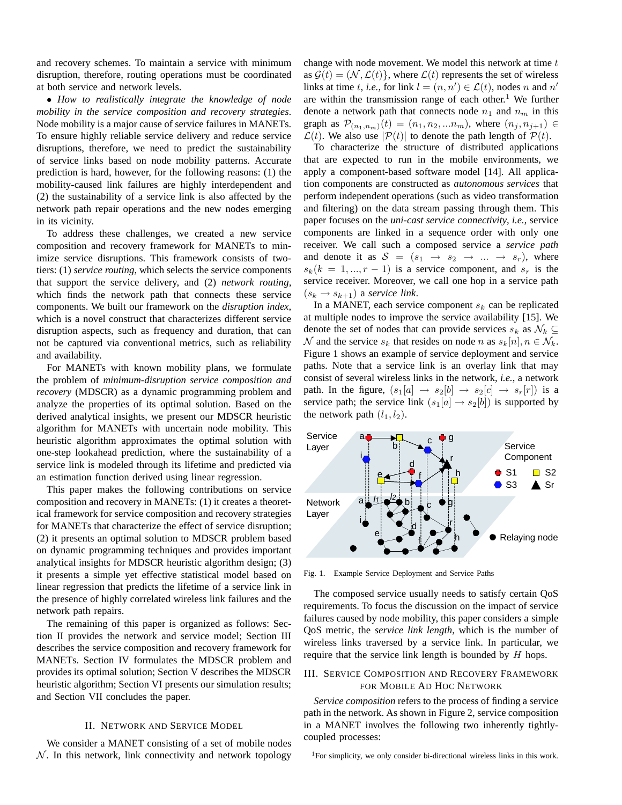and recovery schemes. To maintain a service with minimum disruption, therefore, routing operations must be coordinated at both service and network levels.

• *How to realistically integrate the knowledge of node mobility in the service composition and recovery strategies*. Node mobility is a major cause of service failures in MANETs. To ensure highly reliable service delivery and reduce service disruptions, therefore, we need to predict the sustainability of service links based on node mobility patterns. Accurate prediction is hard, however, for the following reasons: (1) the mobility-caused link failures are highly interdependent and (2) the sustainability of a service link is also affected by the network path repair operations and the new nodes emerging in its vicinity.

To address these challenges, we created a new service composition and recovery framework for MANETs to minimize service disruptions. This framework consists of twotiers: (1) *service routing*, which selects the service components that support the service delivery, and (2) *network routing*, which finds the network path that connects these service components. We built our framework on the *disruption index*, which is a novel construct that characterizes different service disruption aspects, such as frequency and duration, that can not be captured via conventional metrics, such as reliability and availability.

For MANETs with known mobility plans, we formulate the problem of *minimum-disruption service composition and recovery* (MDSCR) as a dynamic programming problem and analyze the properties of its optimal solution. Based on the derived analytical insights, we present our MDSCR heuristic algorithm for MANETs with uncertain node mobility. This heuristic algorithm approximates the optimal solution with one-step lookahead prediction, where the sustainability of a service link is modeled through its lifetime and predicted via an estimation function derived using linear regression.

This paper makes the following contributions on service composition and recovery in MANETs: (1) it creates a theoretical framework for service composition and recovery strategies for MANETs that characterize the effect of service disruption; (2) it presents an optimal solution to MDSCR problem based on dynamic programming techniques and provides important analytical insights for MDSCR heuristic algorithm design; (3) it presents a simple yet effective statistical model based on linear regression that predicts the lifetime of a service link in the presence of highly correlated wireless link failures and the network path repairs.

The remaining of this paper is organized as follows: Section II provides the network and service model; Section III describes the service composition and recovery framework for MANETs. Section IV formulates the MDSCR problem and provides its optimal solution; Section V describes the MDSCR heuristic algorithm; Section VI presents our simulation results; and Section VII concludes the paper.

## II. NETWORK AND SERVICE MODEL

We consider a MANET consisting of a set of mobile nodes  $N$ . In this network, link connectivity and network topology change with node movement. We model this network at time  $t$ as  $\mathcal{G}(t) = (\mathcal{N}, \mathcal{L}(t))$ , where  $\mathcal{L}(t)$  represents the set of wireless links at time t, *i.e.*, for link  $l = (n, n') \in \mathcal{L}(t)$ , nodes n and n' are within the transmission range of each other. <sup>1</sup> We further denote a network path that connects node  $n_1$  and  $n_m$  in this graph as  $\mathcal{P}_{(n_1,n_m)}(t) = (n_1, n_2, ... n_m)$ , where  $(n_j, n_{j+1}) \in$  $\mathcal{L}(t)$ . We also use  $|\mathcal{P}(t)|$  to denote the path length of  $\mathcal{P}(t)$ .

To characterize the structure of distributed applications that are expected to run in the mobile environments, we apply a component-based software model [14]. All application components are constructed as *autonomous services* that perform independent operations (such as video transformation and filtering) on the data stream passing through them. This paper focuses on the *uni-cast service connectivity*, *i.e.*, service components are linked in a sequence order with only one receiver. We call such a composed service a *service path* and denote it as  $S = (s_1 \rightarrow s_2 \rightarrow ... \rightarrow s_r)$ , where  $s_k(k = 1, ..., r - 1)$  is a service component, and  $s_r$  is the service receiver. Moreover, we call one hop in a service path  $(s_k \rightarrow s_{k+1})$  a *service link*.

In a MANET, each service component  $s_k$  can be replicated at multiple nodes to improve the service availability [15]. We denote the set of nodes that can provide services  $s_k$  as  $\mathcal{N}_k$  ⊂ N and the service  $s_k$  that resides on node n as  $s_k[n], n \in \mathcal{N}_k$ . Figure 1 shows an example of service deployment and service paths. Note that a service link is an overlay link that may consist of several wireless links in the network, *i.e.*, a network path. In the figure,  $(s_1[a] \rightarrow s_2[b] \rightarrow s_2[c] \rightarrow s_r[r])$  is a service path; the service link  $(s_1[a] \rightarrow s_2[b])$  is supported by the network path  $(l_1, l_2)$ .



Fig. 1. Example Service Deployment and Service Paths

The composed service usually needs to satisfy certain QoS requirements. To focus the discussion on the impact of service failures caused by node mobility, this paper considers a simple QoS metric, the *service link length*, which is the number of wireless links traversed by a service link. In particular, we require that the service link length is bounded by H hops.

# III. SERVICE COMPOSITION AND RECOVERY FRAMEWORK FOR MOBILE AD HOC NETWORK

*Service composition* refers to the process of finding a service path in the network. As shown in Figure 2, service composition in a MANET involves the following two inherently tightlycoupled processes:

<sup>1</sup>For simplicity, we only consider bi-directional wireless links in this work.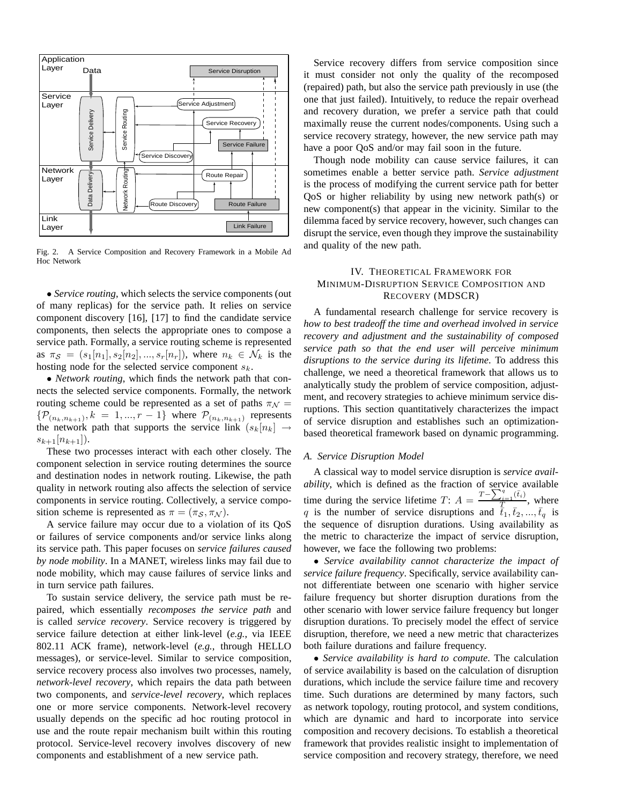

Fig. 2. A Service Composition and Recovery Framework in a Mobile Ad Hoc Network

• *Service routing*, which selects the service components (out of many replicas) for the service path. It relies on service component discovery [16], [17] to find the candidate service components, then selects the appropriate ones to compose a service path. Formally, a service routing scheme is represented as  $\pi_{\mathcal{S}} = (s_1[n_1], s_2[n_2], ..., s_r[n_r]),$  where  $n_k \in \mathcal{N}_k$  is the hosting node for the selected service component  $s_k$ .

• *Network routing*, which finds the network path that connects the selected service components. Formally, the network routing scheme could be represented as a set of paths  $\pi_N$  =  $\{\mathcal{P}_{(n_k,n_{k+1})}, k = 1,...,r-1\}$  where  $\mathcal{P}_{(n_k,n_{k+1})}$  represents the network path that supports the service link  $(s_k[n_k] \rightarrow$  $s_{k+1}[n_{k+1}].$ 

These two processes interact with each other closely. The component selection in service routing determines the source and destination nodes in network routing. Likewise, the path quality in network routing also affects the selection of service components in service routing. Collectively, a service composition scheme is represented as  $\pi = (\pi_S, \pi_N)$ .

A service failure may occur due to a violation of its QoS or failures of service components and/or service links along its service path. This paper focuses on *service failures caused by node mobility*. In a MANET, wireless links may fail due to node mobility, which may cause failures of service links and in turn service path failures.

To sustain service delivery, the service path must be repaired, which essentially *recomposes the service path* and is called *service recovery*. Service recovery is triggered by service failure detection at either link-level (*e.g.*, via IEEE 802.11 ACK frame), network-level (*e.g.*, through HELLO messages), or service-level. Similar to service composition, service recovery process also involves two processes, namely, *network-level recovery*, which repairs the data path between two components, and *service-level recovery*, which replaces one or more service components. Network-level recovery usually depends on the specific ad hoc routing protocol in use and the route repair mechanism built within this routing protocol. Service-level recovery involves discovery of new components and establishment of a new service path.

Service recovery differs from service composition since it must consider not only the quality of the recomposed (repaired) path, but also the service path previously in use (the one that just failed). Intuitively, to reduce the repair overhead and recovery duration, we prefer a service path that could maximally reuse the current nodes/components. Using such a service recovery strategy, however, the new service path may have a poor QoS and/or may fail soon in the future.

Though node mobility can cause service failures, it can sometimes enable a better service path. *Service adjustment* is the process of modifying the current service path for better QoS or higher reliability by using new network path(s) or new component(s) that appear in the vicinity. Similar to the dilemma faced by service recovery, however, such changes can disrupt the service, even though they improve the sustainability and quality of the new path.

# IV. THEORETICAL FRAMEWORK FOR MINIMUM-DISRUPTION SERVICE COMPOSITION AND RECOVERY (MDSCR)

A fundamental research challenge for service recovery is *how to best tradeoff the time and overhead involved in service recovery and adjustment and the sustainability of composed service path so that the end user will perceive minimum disruptions to the service during its lifetime*. To address this challenge, we need a theoretical framework that allows us to analytically study the problem of service composition, adjustment, and recovery strategies to achieve minimum service disruptions. This section quantitatively characterizes the impact of service disruption and establishes such an optimizationbased theoretical framework based on dynamic programming.

## *A. Service Disruption Model*

A classical way to model service disruption is *service availability*, which is defined as the fraction of service available time during the service lifetime  $T: A = \frac{T - \sum_{i=1}^{q} (\bar{t}_i)}{T}$  $\frac{u_i=1}{T}$ , where q is the number of service disruptions and  $\bar{t}_1, \bar{t}_2, ..., \bar{t}_q$  is the sequence of disruption durations. Using availability as the metric to characterize the impact of service disruption, however, we face the following two problems:

• *Service availability cannot characterize the impact of service failure frequency*. Specifically, service availability cannot differentiate between one scenario with higher service failure frequency but shorter disruption durations from the other scenario with lower service failure frequency but longer disruption durations. To precisely model the effect of service disruption, therefore, we need a new metric that characterizes both failure durations and failure frequency.

• *Service availability is hard to compute*. The calculation of service availability is based on the calculation of disruption durations, which include the service failure time and recovery time. Such durations are determined by many factors, such as network topology, routing protocol, and system conditions, which are dynamic and hard to incorporate into service composition and recovery decisions. To establish a theoretical framework that provides realistic insight to implementation of service composition and recovery strategy, therefore, we need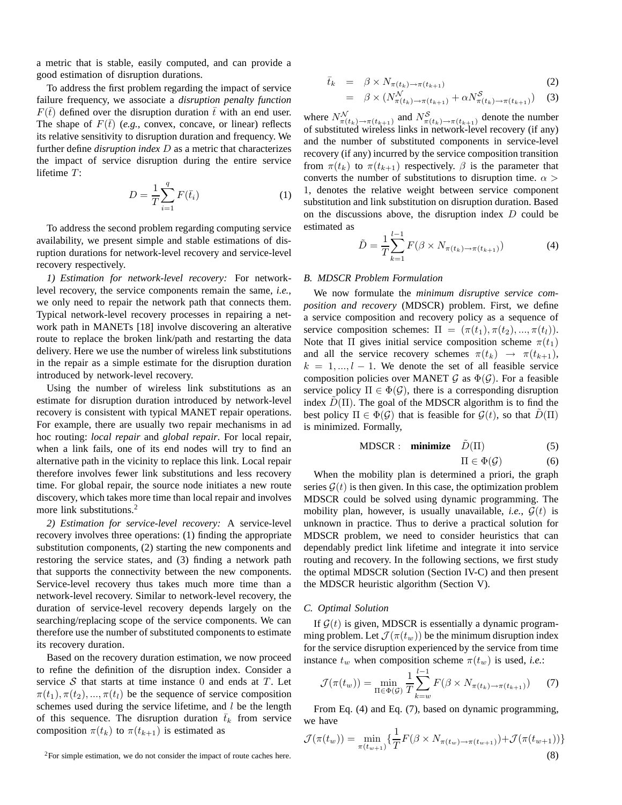a metric that is stable, easily computed, and can provide a good estimation of disruption durations.

To address the first problem regarding the impact of service failure frequency, we associate a *disruption penalty function*  $F(\bar{t})$  defined over the disruption duration  $\bar{t}$  with an end user. The shape of  $F(\bar{t})$  (*e.g.*, convex, concave, or linear) reflects its relative sensitivity to disruption duration and frequency. We further define *disruption index* D as a metric that characterizes the impact of service disruption during the entire service lifetime T:

$$
D = \frac{1}{T} \sum_{i=1}^{q} F(\bar{t}_i)
$$
 (1)

To address the second problem regarding computing service availability, we present simple and stable estimations of disruption durations for network-level recovery and service-level recovery respectively.

*1) Estimation for network-level recovery:* For networklevel recovery, the service components remain the same, *i.e.*, we only need to repair the network path that connects them. Typical network-level recovery processes in repairing a network path in MANETs [18] involve discovering an alterative route to replace the broken link/path and restarting the data delivery. Here we use the number of wireless link substitutions in the repair as a simple estimate for the disruption duration introduced by network-level recovery.

Using the number of wireless link substitutions as an estimate for disruption duration introduced by network-level recovery is consistent with typical MANET repair operations. For example, there are usually two repair mechanisms in ad hoc routing: *local repair* and *global repair*. For local repair, when a link fails, one of its end nodes will try to find an alternative path in the vicinity to replace this link. Local repair therefore involves fewer link substitutions and less recovery time. For global repair, the source node initiates a new route discovery, which takes more time than local repair and involves more link substitutions.<sup>2</sup>

*2) Estimation for service-level recovery:* A service-level recovery involves three operations: (1) finding the appropriate substitution components, (2) starting the new components and restoring the service states, and (3) finding a network path that supports the connectivity between the new components. Service-level recovery thus takes much more time than a network-level recovery. Similar to network-level recovery, the duration of service-level recovery depends largely on the searching/replacing scope of the service components. We can therefore use the number of substituted components to estimate its recovery duration.

Based on the recovery duration estimation, we now proceed to refine the definition of the disruption index. Consider a service  $S$  that starts at time instance 0 and ends at  $T$ . Let  $\pi(t_1), \pi(t_2), \ldots, \pi(t_l)$  be the sequence of service composition schemes used during the service lifetime, and  $l$  be the length of this sequence. The disruption duration  $\bar{t}_k$  from service composition  $\pi(t_k)$  to  $\pi(t_{k+1})$  is estimated as

$$
\bar{t}_k = \beta \times N_{\pi(t_k) \to \pi(t_{k+1})} \tag{2}
$$

$$
= \beta \times (N_{\pi(t_k)\to\pi(t_{k+1})}^{\mathcal{N}} + \alpha N_{\pi(t_k)\to\pi(t_{k+1})}^{\mathcal{S}})
$$
 (3)

where  $N_{\pi(t_k)\to\pi(t_{k+1})}^{\mathcal{N}}$  and  $N_{\pi(t_k)\to\pi(t_{k+1})}^{\mathcal{S}}$  denote the number of substituted wireless links in network-level recovery (if any) and the number of substituted components in service-level recovery (if any) incurred by the service composition transition from  $\pi(t_k)$  to  $\pi(t_{k+1})$  respectively.  $\beta$  is the parameter that converts the number of substitutions to disruption time.  $\alpha$  > 1, denotes the relative weight between service component substitution and link substitution on disruption duration. Based on the discussions above, the disruption index D could be estimated as

$$
\tilde{D} = \frac{1}{T} \sum_{k=1}^{l-1} F(\beta \times N_{\pi(t_k) \to \pi(t_{k+1})})
$$
(4)

## *B. MDSCR Problem Formulation*

We now formulate the *minimum disruptive service composition and recovery* (MDSCR) problem. First, we define a service composition and recovery policy as a sequence of service composition schemes:  $\Pi = (\pi(t_1), \pi(t_2), ..., \pi(t_l)).$ Note that  $\Pi$  gives initial service composition scheme  $\pi(t_1)$ and all the service recovery schemes  $\pi(t_k) \rightarrow \pi(t_{k+1}),$  $k = 1, ..., l - 1$ . We denote the set of all feasible service composition policies over MANET  $\mathcal G$  as  $\Phi(\mathcal G)$ . For a feasible service policy  $\Pi \in \Phi(\mathcal{G})$ , there is a corresponding disruption index  $\tilde{D}(\Pi)$ . The goal of the MDSCR algorithm is to find the best policy  $\Pi \in \Phi(\mathcal{G})$  that is feasible for  $\mathcal{G}(t)$ , so that  $\tilde{D}(\Pi)$ is minimized. Formally,

$$
MDSCR: \tminimize \t\tilde{D}(\Pi) \t\t(5)
$$

$$
\Pi \in \Phi(\mathcal{G}) \tag{6}
$$

When the mobility plan is determined a priori, the graph series  $\mathcal{G}(t)$  is then given. In this case, the optimization problem MDSCR could be solved using dynamic programming. The mobility plan, however, is usually unavailable, *i.e.*,  $G(t)$  is unknown in practice. Thus to derive a practical solution for MDSCR problem, we need to consider heuristics that can dependably predict link lifetime and integrate it into service routing and recovery. In the following sections, we first study the optimal MDSCR solution (Section IV-C) and then present the MDSCR heuristic algorithm (Section V).

## *C. Optimal Solution*

If  $\mathcal{G}(t)$  is given, MDSCR is essentially a dynamic programming problem. Let  $\mathcal{J}(\pi(t_w))$  be the minimum disruption index for the service disruption experienced by the service from time instance  $t_w$  when composition scheme  $\pi(t_w)$  is used, *i.e.*:

$$
\mathcal{J}(\pi(t_w)) = \min_{\Pi \in \Phi(\mathcal{G})} \frac{1}{T} \sum_{k=w}^{l-1} F(\beta \times N_{\pi(t_k) \to \pi(t_{k+1})}) \tag{7}
$$

From Eq. (4) and Eq. (7), based on dynamic programming, we have

$$
\mathcal{J}(\pi(t_w)) = \min_{\pi(t_{w+1})} \{ \frac{1}{T} F(\beta \times N_{\pi(t_w) \to \pi(t_{w+1})}) + \mathcal{J}(\pi(t_{w+1})) \}
$$
\n(8)

 $2$ For simple estimation, we do not consider the impact of route caches here.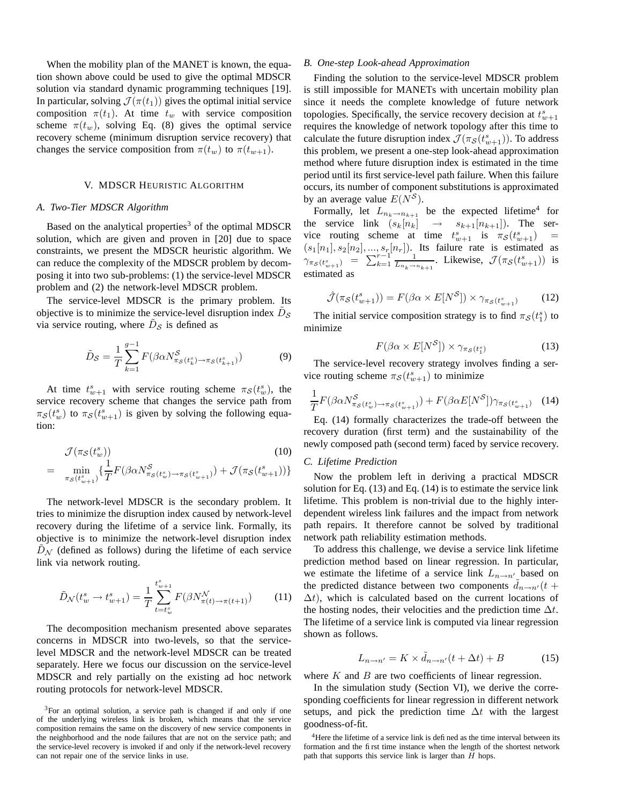When the mobility plan of the MANET is known, the equation shown above could be used to give the optimal MDSCR solution via standard dynamic programming techniques [19]. In particular, solving  $\mathcal{J}(\pi(t_1))$  gives the optimal initial service composition  $\pi(t_1)$ . At time  $t_w$  with service composition scheme  $\pi(t_w)$ , solving Eq. (8) gives the optimal service recovery scheme (minimum disruption service recovery) that changes the service composition from  $\pi(t_w)$  to  $\pi(t_{w+1})$ .

## V. MDSCR HEURISTIC ALGORITHM

#### *A. Two-Tier MDSCR Algorithm*

Based on the analytical properties<sup>3</sup> of the optimal MDSCR solution, which are given and proven in [20] due to space constraints, we present the MDSCR heuristic algorithm. We can reduce the complexity of the MDSCR problem by decomposing it into two sub-problems: (1) the service-level MDSCR problem and (2) the network-level MDSCR problem.

The service-level MDSCR is the primary problem. Its objective is to minimize the service-level disruption index  $\tilde{D}_{\mathcal{S}}$ via service routing, where  $\tilde{D}_{\mathcal{S}}$  is defined as

$$
\tilde{D}_{\mathcal{S}} = \frac{1}{T} \sum_{k=1}^{g-1} F(\beta \alpha N_{\pi_{\mathcal{S}}(t_k^s) \to \pi_{\mathcal{S}}(t_{k+1}^s)}^{\mathcal{S}})
$$
(9)

At time  $t_{w+1}^s$  with service routing scheme  $\pi_{\mathcal{S}}(t_w^s)$ , the service recovery scheme that changes the service path from  $\pi_{\mathcal{S}}(t_w^s)$  to  $\pi_{\mathcal{S}}(t_{w+1}^s)$  is given by solving the following equation:

$$
\mathcal{J}(\pi_{\mathcal{S}}(t_w^s)) \qquad (10)
$$
\n
$$
= \min_{\pi_{\mathcal{S}}(t_{w+1}^s)} \{ \frac{1}{T} F(\beta \alpha N_{\pi_{\mathcal{S}}(t_w^s) \to \pi_{\mathcal{S}}(t_{w+1}^s)}) + \mathcal{J}(\pi_{\mathcal{S}}(t_{w+1}^s)) \}
$$

The network-level MDSCR is the secondary problem. It tries to minimize the disruption index caused by network-level recovery during the lifetime of a service link. Formally, its objective is to minimize the network-level disruption index  $D_N$  (defined as follows) during the lifetime of each service link via network routing.

$$
\tilde{D}_{\mathcal{N}}(t_w^s \to t_{w+1}^s) = \frac{1}{T} \sum_{t=t_w^s}^{t_{w+1}^s} F(\beta N_{\pi(t) \to \pi(t+1)}^{\mathcal{N}})
$$
(11)

The decomposition mechanism presented above separates concerns in MDSCR into two-levels, so that the servicelevel MDSCR and the network-level MDSCR can be treated separately. Here we focus our discussion on the service-level MDSCR and rely partially on the existing ad hoc network routing protocols for network-level MDSCR.

#### *B. One-step Look-ahead Approximation*

Finding the solution to the service-level MDSCR problem is still impossible for MANETs with uncertain mobility plan since it needs the complete knowledge of future network topologies. Specifically, the service recovery decision at  $t_{w+1}^s$ requires the knowledge of network topology after this time to calculate the future disruption index  $\mathcal{J}(\pi_{\mathcal{S}}(t_{w+1}^s))$ . To address this problem, we present a one-step look-ahead approximation method where future disruption index is estimated in the time period until its first service-level path failure. When this failure occurs, its number of component substitutions is approximated by an average value  $E(N^{\mathcal{S}})$ .

Formally, let  $L_{n_k \to n_{k+1}}$  be the expected lifetime<sup>4</sup> for the service link  $(s_k[n_k] \rightarrow s_{k+1}[n_{k+1}])$ . The service routing scheme at time  $t_{w+1}^s$  is  $\pi s(t_{w+1}^s)$  =  $(s_1[n_1], s_2[n_2], ..., s_r[n_r])$ . Its failure rate is estimated as  $\gamma_{\pi_S(t_{w+1}^s)} = \sum_{k=1}^{r-1} \frac{t_{n_k \to n_{k+1}}}{L_{n_k \to n_{k+1}}}$ . Likewise,  $\mathcal{J}(\pi_S(t_{w+1}^s))$  is estimated as

$$
\hat{\mathcal{J}}(\pi_{\mathcal{S}}(t_{w+1}^s)) = F(\beta \alpha \times E[N^{\mathcal{S}}]) \times \gamma_{\pi_{\mathcal{S}}(t_{w+1}^s)} \tag{12}
$$

The initial service composition strategy is to find  $\pi_{\mathcal{S}}(t_1^s)$  to minimize

$$
F(\beta \alpha \times E[N^S]) \times \gamma_{\pi_S(t_1^s)}
$$
\n(13)

The service-level recovery strategy involves finding a service routing scheme  $\pi_{\mathcal{S}}(t_{w+1}^s)$  to minimize

$$
\frac{1}{T}F(\beta\alpha N^{\mathcal{S}}_{\pi_{\mathcal{S}}(t_w^s)\to\pi_{\mathcal{S}}(t_{w+1}^s)}) + F(\beta\alpha E[N^{\mathcal{S}}])\gamma_{\pi_{\mathcal{S}}(t_{w+1}^s)} \quad (14)
$$

Eq. (14) formally characterizes the trade-off between the recovery duration (first term) and the sustainability of the newly composed path (second term) faced by service recovery.

#### *C. Lifetime Prediction*

Now the problem left in deriving a practical MDSCR solution for Eq. (13) and Eq. (14) is to estimate the service link lifetime. This problem is non-trivial due to the highly interdependent wireless link failures and the impact from network path repairs. It therefore cannot be solved by traditional network path reliability estimation methods.

To address this challenge, we devise a service link lifetime prediction method based on linear regression. In particular, we estimate the lifetime of a service link  $L_{n\to n}$  based on the predicted distance between two components  $\tilde{d}_{n \to n'}(t +$  $\Delta t$ ), which is calculated based on the current locations of the hosting nodes, their velocities and the prediction time  $\Delta t$ . The lifetime of a service link is computed via linear regression shown as follows.

$$
L_{n \to n'} = K \times \tilde{d}_{n \to n'}(t + \Delta t) + B \tag{15}
$$

where  $K$  and  $B$  are two coefficients of linear regression.

In the simulation study (Section VI), we derive the corresponding coefficients for linear regression in different network setups, and pick the prediction time  $\Delta t$  with the largest goodness-of-fit.

<sup>3</sup>For an optimal solution, a service path is changed if and only if one of the underlying wireless link is broken, which means that the service composition remains the same on the discovery of new service components in the neighborhood and the node failures that are not on the service path; and the service-level recovery is invoked if and only if the network-level recovery can not repair one of the service links in use.

<sup>&</sup>lt;sup>4</sup>Here the lifetime of a service link is defined as the time interval between its formation and the first time instance when the length of the shortest network path that supports this service link is larger than  $H$  hops.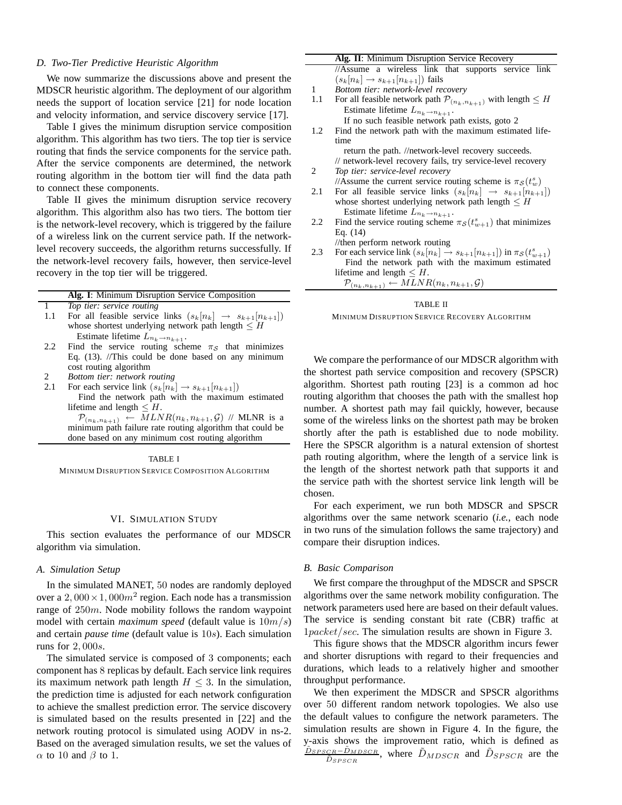#### *D. Two-Tier Predictive Heuristic Algorithm*

We now summarize the discussions above and present the MDSCR heuristic algorithm. The deployment of our algorithm needs the support of location service [21] for node location and velocity information, and service discovery service [17].

Table I gives the minimum disruption service composition algorithm. This algorithm has two tiers. The top tier is service routing that finds the service components for the service path. After the service components are determined, the network routing algorithm in the bottom tier will find the data path to connect these components.

Table II gives the minimum disruption service recovery algorithm. This algorithm also has two tiers. The bottom tier is the network-level recovery, which is triggered by the failure of a wireless link on the current service path. If the networklevel recovery succeeds, the algorithm returns successfully. I the network-level recovery fails, however, then service-level recovery in the top tier will be triggered.

**Alg. I**: Minimum Disruption Service Composition

1 *Top tier: service routing*

- 1.1 For all feasible service links  $(s_k[n_k] \rightarrow s_{k+1}[n_{k+1}])$ whose shortest underlying network path length  $\leq H$ Estimate lifetime  $L_{n_k \to n_{k+1}}$ .
- 2.2 Find the service routing scheme  $\pi_S$  that minimizes Eq. (13). //This could be done based on any minimum cost routing algorithm
- 2 *Bottom tier: network routing*
- 2.1 For each service link  $(s_k[n_k] \rightarrow s_{k+1}[n_{k+1}])$ Find the network path with the maximum estimated lifetime and length  $\leq H$ .  $\mathcal{P}_{(n_k,n_{k+1})} \leftarrow \text{MLNR}(n_k,n_{k+1},\mathcal{G})$  // MLNR is a

minimum path failure rate routing algorithm that could be done based on any minimum cost routing algorithm

## TABLE I

MINIMUM DISRUPTION SERVICE COMPOSITION ALGORITHM

#### VI. SIMULATION STUDY

This section evaluates the performance of our MDSCR algorithm via simulation.

#### *A. Simulation Setup*

In the simulated MANET, 50 nodes are randomly deployed over a  $2,000 \times 1,000m^2$  region. Each node has a transmission range of 250m. Node mobility follows the random waypoint model with certain *maximum speed* (default value is 10m/s) and certain *pause time* (default value is 10s). Each simulation runs for 2, 000s.

The simulated service is composed of 3 components; each component has 8 replicas by default. Each service link requires its maximum network path length  $H \leq 3$ . In the simulation, the prediction time is adjusted for each network configuration to achieve the smallest prediction error. The service discovery is simulated based on the results presented in [22] and the network routing protocol is simulated using AODV in ns-2. Based on the averaged simulation results, we set the values of  $\alpha$  to 10 and  $\beta$  to 1.

|              | Alg. II: Minimum Disruption Service Recovery                                                      |
|--------------|---------------------------------------------------------------------------------------------------|
|              | //Assume a wireless link that supports service link                                               |
|              | $(s_k[n_k] \rightarrow s_{k+1}[n_{k+1}])$ fails                                                   |
| $\mathbf{1}$ | Bottom tier: network-level recovery                                                               |
| 1.1          | For all feasible network path $\mathcal{P}_{(n_k,n_{k+1})}$ with length $\leq H$                  |
|              | Estimate lifetime $L_{n_k \to n_{k+1}}$ .                                                         |
|              | If no such feasible network path exists, goto 2                                                   |
| 1.2          | Find the network path with the maximum estimated life-                                            |
|              | time                                                                                              |
|              | return the path. //network-level recovery succeeds.                                               |
|              | // network-level recovery fails, try service-level recovery                                       |
| 2            | Top tier: service-level recovery                                                                  |
|              | //Assume the current service routing scheme is $\pi_{\mathcal{S}}(t_w^s)$                         |
| 2.1          | For all feasible service links $(s_k[n_k] \rightarrow s_{k+1}[n_{k+1}])$                          |
|              | whose shortest underlying network path length $\leq H$                                            |
|              | Estimate lifetime $L_{n_k \to n_{k+1}}$ .                                                         |
| 2.2          | Find the service routing scheme $\pi_{\mathcal{S}}(t_{w+1}^s)$ that minimizes                     |
|              | Eq. (14)                                                                                          |
|              | //then perform network routing                                                                    |
| 2.3          | For each service link $(s_k[n_k] \rightarrow s_{k+1}[n_{k+1}])$ in $\pi_{\mathcal{S}}(t_{w+1}^s)$ |
|              | Find the network path with the maximum estimated                                                  |
|              | lifetime and length $\leq H$ .                                                                    |
|              | $\mathcal{P}_{(n_k,n_{k+1})} \leftarrow MLNR(n_k,n_{k+1},\mathcal{G})$                            |

#### TABLE II

MINIMUM DISRUPTION SERVICE RECOVERY ALGORITHM

We compare the performance of our MDSCR algorithm with the shortest path service composition and recovery (SPSCR) algorithm. Shortest path routing [23] is a common ad hoc routing algorithm that chooses the path with the smallest hop number. A shortest path may fail quickly, however, because some of the wireless links on the shortest path may be broken shortly after the path is established due to node mobility. Here the SPSCR algorithm is a natural extension of shortest path routing algorithm, where the length of a service link is the length of the shortest network path that supports it and the service path with the shortest service link length will be chosen.

For each experiment, we run both MDSCR and SPSCR algorithms over the same network scenario (*i.e.*, each node in two runs of the simulation follows the same trajectory) and compare their disruption indices.

#### *B. Basic Comparison*

We first compare the throughput of the MDSCR and SPSCR algorithms over the same network mobility configuration. The network parameters used here are based on their default values. The service is sending constant bit rate (CBR) traffic at 1*packet/sec*. The simulation results are shown in Figure 3.

This figure shows that the MDSCR algorithm incurs fewer and shorter disruptions with regard to their frequencies and durations, which leads to a relatively higher and smoother throughput performance.

We then experiment the MDSCR and SPSCR algorithms over 50 different random network topologies. We also use the default values to configure the network parameters. The simulation results are shown in Figure 4. In the figure, the y-axis shows the improvement ratio, which is defined as  $\tilde{D}_{SPSCR} = \tilde{D}_{MDSCR}$ , where  $\tilde{D}_{MDSCR}$  and  $\tilde{D}_{SPSCR}$  are the  $\tilde{D}_{SPSCR}$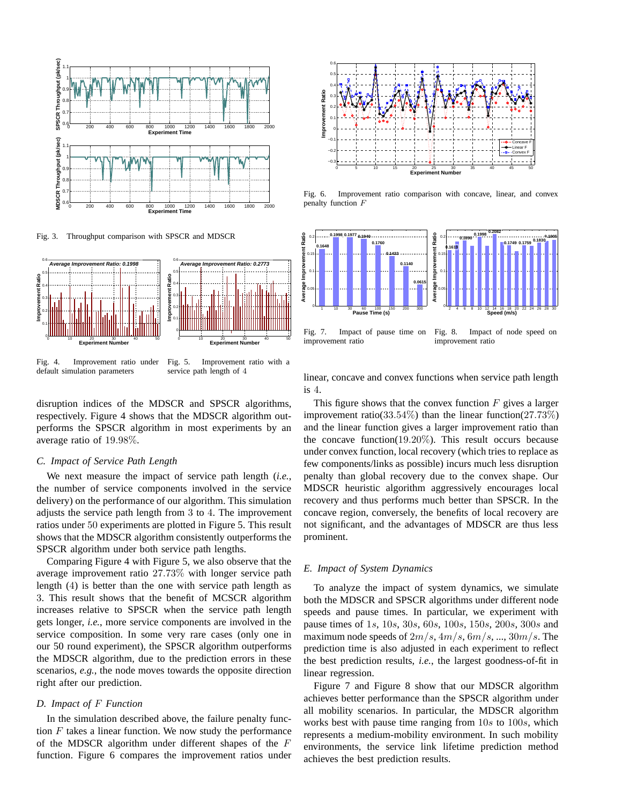

Fig. 3. Throughput comparison with SPSCR and MDSCR



Fig. 4. Improvement ratio under default simulation parameters Fig. 5. Improvement ratio with a service path length of 4

disruption indices of the MDSCR and SPSCR algorithms, respectively. Figure 4 shows that the MDSCR algorithm outperforms the SPSCR algorithm in most experiments by an average ratio of 19.98%.

#### *C. Impact of Service Path Length*

We next measure the impact of service path length (*i.e.*, the number of service components involved in the service delivery) on the performance of our algorithm. This simulation adjusts the service path length from 3 to 4. The improvement ratios under 50 experiments are plotted in Figure 5. This result shows that the MDSCR algorithm consistently outperforms the SPSCR algorithm under both service path lengths.

Comparing Figure 4 with Figure 5, we also observe that the average improvement ratio 27.73% with longer service path length (4) is better than the one with service path length as 3. This result shows that the benefit of MCSCR algorithm increases relative to SPSCR when the service path length gets longer, *i.e.*, more service components are involved in the service composition. In some very rare cases (only one in our 50 round experiment), the SPSCR algorithm outperforms the MDSCR algorithm, due to the prediction errors in these scenarios, *e.g.*, the node moves towards the opposite direction right after our prediction.

## *D. Impact of* F *Function*

In the simulation described above, the failure penalty function  $F$  takes a linear function. We now study the performance of the MDSCR algorithm under different shapes of the F function. Figure 6 compares the improvement ratios under



Fig. 6. Improvement ratio comparison with concave, linear, and convex penalty function F



improvement ratio improvement ratio

linear, concave and convex functions when service path length is 4.

This figure shows that the convex function  $F$  gives a larger improvement ratio(33.54%) than the linear function(27.73%) and the linear function gives a larger improvement ratio than the concave function(19.20%). This result occurs because under convex function, local recovery (which tries to replace as few components/links as possible) incurs much less disruption penalty than global recovery due to the convex shape. Our MDSCR heuristic algorithm aggressively encourages local recovery and thus performs much better than SPSCR. In the concave region, conversely, the benefits of local recovery are not significant, and the advantages of MDSCR are thus less prominent.

#### *E. Impact of System Dynamics*

To analyze the impact of system dynamics, we simulate both the MDSCR and SPSCR algorithms under different node speeds and pause times. In particular, we experiment with pause times of 1s, 10s, 30s, 60s, 100s, 150s, 200s, 300s and maximum node speeds of  $2m/s$ ,  $4m/s$ ,  $6m/s$ , ...,  $30m/s$ . The prediction time is also adjusted in each experiment to reflect the best prediction results, *i.e.*, the largest goodness-of-fit in linear regression.

Figure 7 and Figure 8 show that our MDSCR algorithm achieves better performance than the SPSCR algorithm under all mobility scenarios. In particular, the MDSCR algorithm works best with pause time ranging from  $10s$  to  $100s$ , which represents a medium-mobility environment. In such mobility environments, the service link lifetime prediction method achieves the best prediction results.